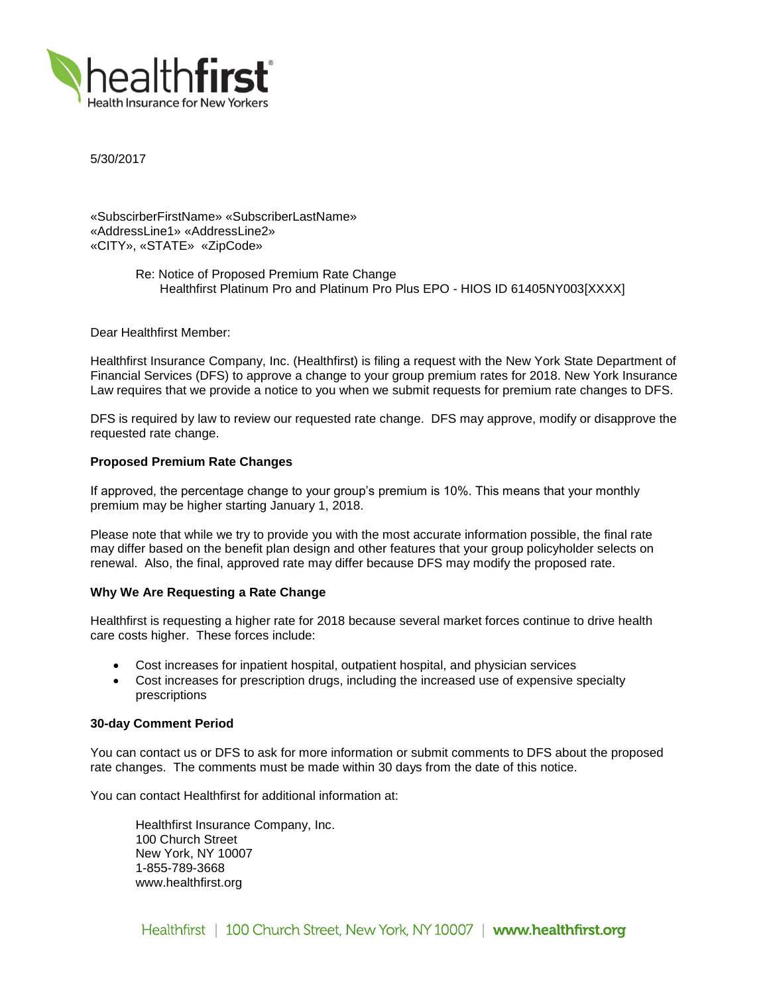

5/30/2017

«SubscirberFirstName» «SubscriberLastName» «AddressLine1» «AddressLine2» «CITY», «STATE» «ZipCode»

> Re: Notice of Proposed Premium Rate Change Healthfirst Platinum Pro and Platinum Pro Plus EPO - HIOS ID 61405NY003[XXXX]

Dear Healthfirst Member:

Healthfirst Insurance Company, Inc. (Healthfirst) is filing a request with the New York State Department of Financial Services (DFS) to approve a change to your group premium rates for 2018. New York Insurance Law requires that we provide a notice to you when we submit requests for premium rate changes to DFS.

DFS is required by law to review our requested rate change. DFS may approve, modify or disapprove the requested rate change.

## **Proposed Premium Rate Changes**

If approved, the percentage change to your group's premium is 10%. This means that your monthly premium may be higher starting January 1, 2018.

Please note that while we try to provide you with the most accurate information possible, the final rate may differ based on the benefit plan design and other features that your group policyholder selects on renewal. Also, the final, approved rate may differ because DFS may modify the proposed rate.

#### **Why We Are Requesting a Rate Change**

Healthfirst is requesting a higher rate for 2018 because several market forces continue to drive health care costs higher. These forces include:

- Cost increases for inpatient hospital, outpatient hospital, and physician services
- Cost increases for prescription drugs, including the increased use of expensive specialty prescriptions

### **30-day Comment Period**

You can contact us or DFS to ask for more information or submit comments to DFS about the proposed rate changes. The comments must be made within 30 days from the date of this notice.

You can contact Healthfirst for additional information at:

Healthfirst Insurance Company, Inc. 100 Church Street New York, NY 10007 1-855-789-3668 www.healthfirst.org